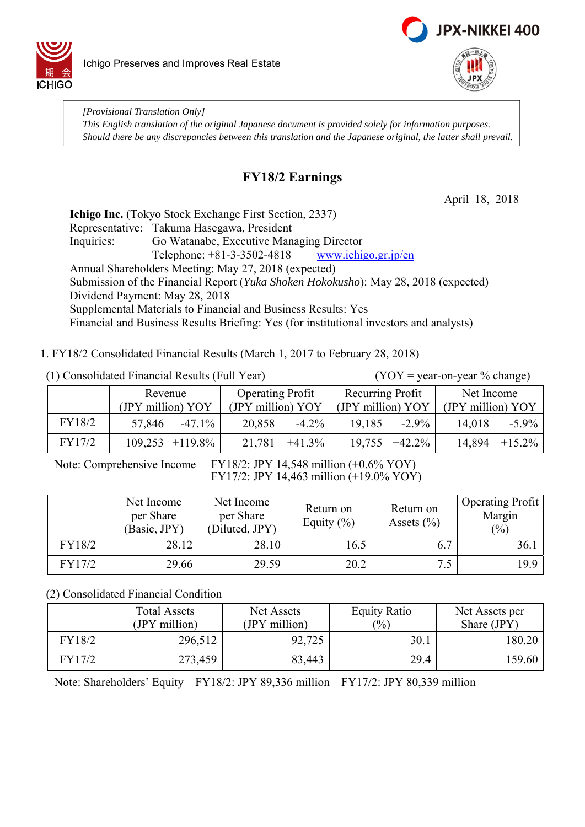



*[Provisional Translation Only] This English translation of the original Japanese document is provided solely for information purposes. Should there be any discrepancies between this translation and the Japanese original, the latter shall prevail.*

# **FY18/2 Earnings**

April 18, 2018

**Ichigo Inc.** (Tokyo Stock Exchange First Section, 2337) Representative: Takuma Hasegawa, President Inquiries: Go Watanabe, Executive Managing Director Telephone:  $+81-3-3502-4818$  www.ichigo.gr.jp/en Annual Shareholders Meeting: May 27, 2018 (expected) Submission of the Financial Report (*Yuka Shoken Hokokusho*): May 28, 2018 (expected) Dividend Payment: May 28, 2018 Supplemental Materials to Financial and Business Results: Yes Financial and Business Results Briefing: Yes (for institutional investors and analysts)

1. FY18/2 Consolidated Financial Results (March 1, 2017 to February 28, 2018)

|        | Revenue             | <b>Operating Profit</b> | Recurring Profit   | Net Income          |  |
|--------|---------------------|-------------------------|--------------------|---------------------|--|
|        | (JPY million) YOY   | (JPY million) YOY       | (JPY million) YOY  | (JPY million) YOY   |  |
| FY18/2 | 57,846<br>$-47.1\%$ | 20,858<br>$-4.2\%$      | 19.185<br>$-2.9\%$ | 14,018<br>$-5.9\%$  |  |
| FY17/2 | $109,253$ +119.8%   | $+41.3\%$<br>21,781     | $19,755 +42.2\%$   | 14,894<br>$+15.2\%$ |  |

Note: Comprehensive Income FY18/2: JPY 14,548 million (+0.6% YOY) FY17/2: JPY 14,463 million (+19.0% YOY)

|        | Net Income<br>per Share<br>(Basic, JPY) | Net Income<br>per Share<br>(Diluted, JPY) | Return on<br>Equity $(\% )$ | Return on<br>Assets $(\% )$ | <b>Operating Profit</b><br>Margin<br>(%) |
|--------|-----------------------------------------|-------------------------------------------|-----------------------------|-----------------------------|------------------------------------------|
| FY18/2 | 28.12                                   | 28.10                                     | 16.5                        | 6.7                         | 36.1                                     |
| FY17/2 | 29.66                                   | 29.59                                     | 20.2                        | 7.5                         | 19.9                                     |

(2) Consolidated Financial Condition

|        | <b>Total Assets</b> | Net Assets    | <b>Equity Ratio</b> | Net Assets per |
|--------|---------------------|---------------|---------------------|----------------|
|        | (JPY million)       | (JPY million) | $\frac{(0)}{0}$     | Share (JPY)    |
| FY18/2 | 296,512             | 92,725        | 30.1                | 180.20         |
| FY17/2 | 273,459             | 83,443        | 29.4                | 159.60         |

Note: Shareholders' Equity FY18/2: JPY 89,336 million FY17/2: JPY 80,339 million

(1) Consolidated Financial Results (Full Year) (YOY = year-on-year % change)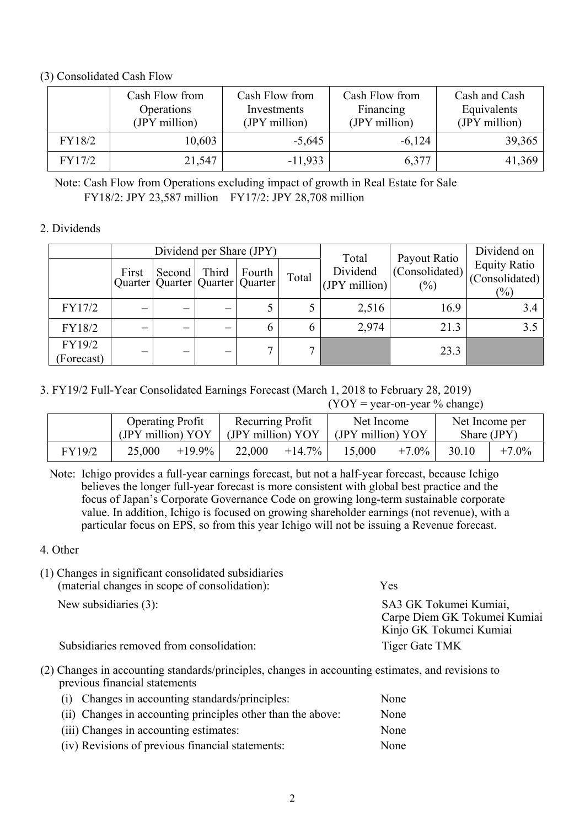## (3) Consolidated Cash Flow

|        | Cash Flow from<br>Operations<br>(JPY million) | Cash Flow from<br>Investments<br>(JPY million) | Cash Flow from<br>Financing<br>(JPY million) | Cash and Cash<br>Equivalents<br>(JPY million) |
|--------|-----------------------------------------------|------------------------------------------------|----------------------------------------------|-----------------------------------------------|
| FY18/2 | 10,603                                        | $-5,645$                                       | $-6,124$                                     | 39,365                                        |
| FY17/2 | 21,547                                        | $-11,933$                                      | 6,377                                        | 41,369                                        |

Note: Cash Flow from Operations excluding impact of growth in Real Estate for Sale FY18/2: JPY 23,587 million FY17/2: JPY 28,708 million

## 2. Dividends

|                      |                          |                                                 |       | Dividend per Share (JPY) |               | Total                       | Payout Ratio             | Dividend on                                     |
|----------------------|--------------------------|-------------------------------------------------|-------|--------------------------|---------------|-----------------------------|--------------------------|-------------------------------------------------|
|                      | First                    | Second<br>Quarter   Quarter   Quarter   Quarter | Third | Fourth                   | Total         | Dividend<br>$(IPY$ million) | (Consolidated)<br>$(\%)$ | <b>Equity Ratio</b><br>(Consolidated)<br>$(\%)$ |
| FY17/2               |                          |                                                 |       |                          |               | 2,516                       | 16.9                     | 3.4                                             |
| FY18/2               |                          |                                                 |       | O                        | $\mathfrak b$ | 2,974                       | 21.3                     | 3.5                                             |
| FY19/2<br>(Forecast) | $\overline{\phantom{0}}$ |                                                 |       |                          | $\mathbf{r}$  |                             | 23.3                     |                                                 |

## 3. FY19/2 Full-Year Consolidated Earnings Forecast (March 1, 2018 to February 28, 2019)

 $(YOY = year-on-year \% change)$ 

|        | <b>Operating Profit</b><br>(JPY million) YOY |           | Recurring Profit<br>(JPY million) YOY |           | Net Income<br>(JPY million) YOY |          |       | Net Income per<br>Share (JPY) |
|--------|----------------------------------------------|-----------|---------------------------------------|-----------|---------------------------------|----------|-------|-------------------------------|
| FY19/2 | 25,000                                       | $+19.9\%$ | 22,000                                | $+14.7\%$ | 15,000                          | $+7.0\%$ | 30.10 | $+7.0\%$                      |

Note: Ichigo provides a full-year earnings forecast, but not a half-year forecast, because Ichigo believes the longer full-year forecast is more consistent with global best practice and the focus of Japan's Corporate Governance Code on growing long-term sustainable corporate value. In addition, Ichigo is focused on growing shareholder earnings (not revenue), with a particular focus on EPS, so from this year Ichigo will not be issuing a Revenue forecast.

4. Other

| т реландев нг эгднигеант сонвонаатса вабыснагтся<br>(material changes in scope of consolidation): | Yes                                                                               |
|---------------------------------------------------------------------------------------------------|-----------------------------------------------------------------------------------|
| New subsidiaries $(3)$ :                                                                          | SA3 GK Tokumei Kumiai,<br>Carpe Diem GK Tokumei Kumiai<br>Kinjo GK Tokumei Kumiai |
| Subsidiaries removed from consolidation:                                                          | Tiger Gate TMK                                                                    |

(2) Changes in accounting standards/principles, changes in accounting estimates, and revisions to previous financial statements

| (i) Changes in accounting standards/principles:             | None |
|-------------------------------------------------------------|------|
| (ii) Changes in accounting principles other than the above: | None |
| (iii) Changes in accounting estimates:                      | None |
| (iv) Revisions of previous financial statements:            | None |

(1) Changes in significant consolidated subsidiaries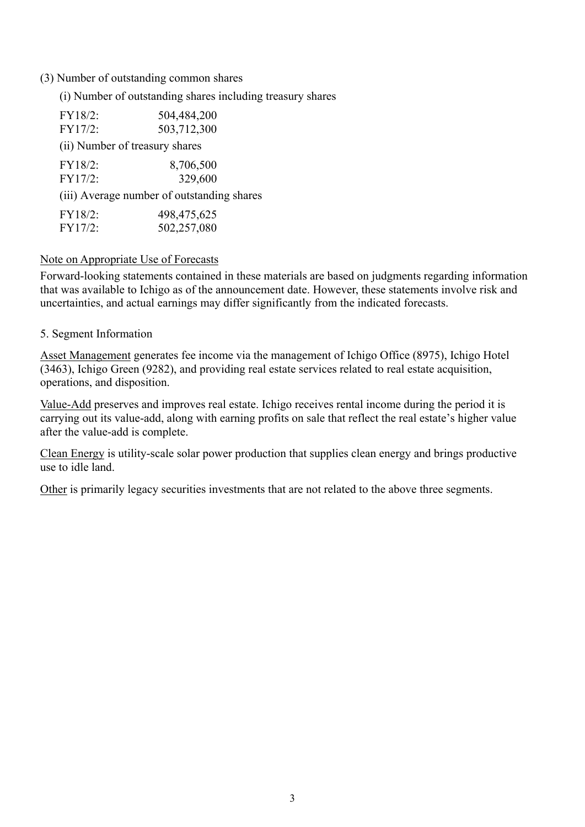## (3) Number of outstanding common shares

(i) Number of outstanding shares including treasury shares

| FY18/2: | 504,484,200                                |
|---------|--------------------------------------------|
| FY17/2: | 503,712,300                                |
|         | (ii) Number of treasury shares             |
| FY18/2: | 8,706,500                                  |
| FY17/2: | 329,600                                    |
|         | (iii) Average number of outstanding shares |
| FY18/2: | 498,475,625                                |
| FY17/2: | 502,257,080                                |

## Note on Appropriate Use of Forecasts

Forward-looking statements contained in these materials are based on judgments regarding information that was available to Ichigo as of the announcement date. However, these statements involve risk and uncertainties, and actual earnings may differ significantly from the indicated forecasts.

## 5. Segment Information

Asset Management generates fee income via the management of Ichigo Office (8975), Ichigo Hotel (3463), Ichigo Green (9282), and providing real estate services related to real estate acquisition, operations, and disposition.

Value-Add preserves and improves real estate. Ichigo receives rental income during the period it is carrying out its value-add, along with earning profits on sale that reflect the real estate's higher value after the value-add is complete.

Clean Energy is utility-scale solar power production that supplies clean energy and brings productive use to idle land.

Other is primarily legacy securities investments that are not related to the above three segments.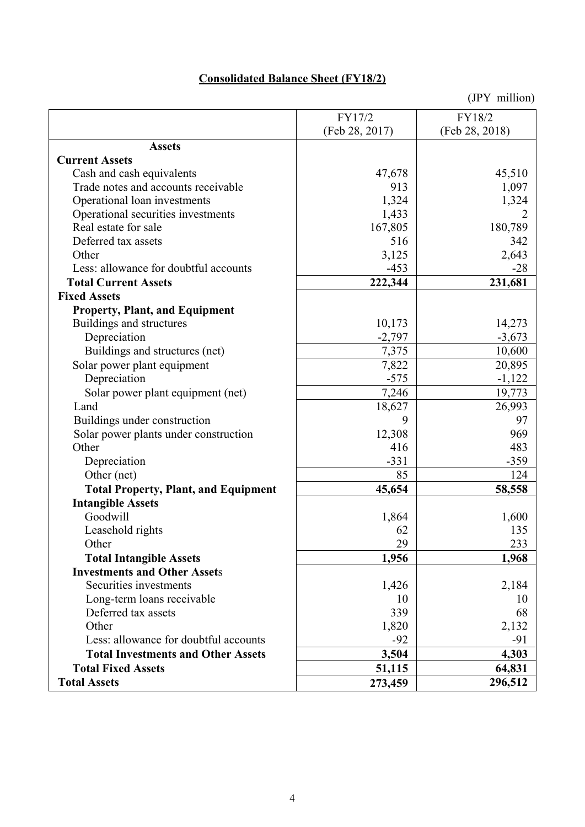# **Consolidated Balance Sheet (FY18/2)**

|                                             | FY17/2         | FY18/2         |
|---------------------------------------------|----------------|----------------|
|                                             | (Feb 28, 2017) | (Feb 28, 2018) |
| <b>Assets</b>                               |                |                |
| <b>Current Assets</b>                       |                |                |
| Cash and cash equivalents                   | 47,678         | 45,510         |
| Trade notes and accounts receivable         | 913            | 1,097          |
| Operational loan investments                | 1,324          | 1,324          |
| Operational securities investments          | 1,433          | 2              |
| Real estate for sale                        | 167,805        | 180,789        |
| Deferred tax assets                         | 516            | 342            |
| Other                                       | 3,125          | 2,643          |
| Less: allowance for doubtful accounts       | $-453$         | $-28$          |
| <b>Total Current Assets</b>                 | 222,344        | 231,681        |
| <b>Fixed Assets</b>                         |                |                |
| <b>Property, Plant, and Equipment</b>       |                |                |
| Buildings and structures                    | 10,173         | 14,273         |
| Depreciation                                | $-2,797$       | $-3,673$       |
| Buildings and structures (net)              | 7,375          | 10,600         |
| Solar power plant equipment                 | 7,822          | 20,895         |
| Depreciation                                | $-575$         | $-1,122$       |
| Solar power plant equipment (net)           | 7,246          | 19,773         |
| Land                                        | 18,627         | 26,993         |
| Buildings under construction                | 9              | 97             |
| Solar power plants under construction       | 12,308         | 969            |
| Other                                       | 416            | 483            |
| Depreciation                                | $-331$         | $-359$         |
| Other (net)                                 | 85             | 124            |
| <b>Total Property, Plant, and Equipment</b> | 45,654         | 58,558         |
| <b>Intangible Assets</b>                    |                |                |
| Goodwill                                    | 1,864          | 1,600          |
| Leasehold rights                            | 62             | 135            |
| Other                                       | 29             | 233            |
| <b>Total Intangible Assets</b>              | 1,956          | 1,968          |
| <b>Investments and Other Assets</b>         |                |                |
| Securities investments                      | 1,426          | 2,184          |
| Long-term loans receivable                  | 10             | 10             |
| Deferred tax assets                         | 339            | 68             |
| Other                                       | 1,820          | 2,132          |
| Less: allowance for doubtful accounts       | $-92$          | $-91$          |
| <b>Total Investments and Other Assets</b>   | 3,504          | 4,303          |
| <b>Total Fixed Assets</b>                   | 51,115         | 64,831         |
| <b>Total Assets</b>                         | 273,459        | 296,512        |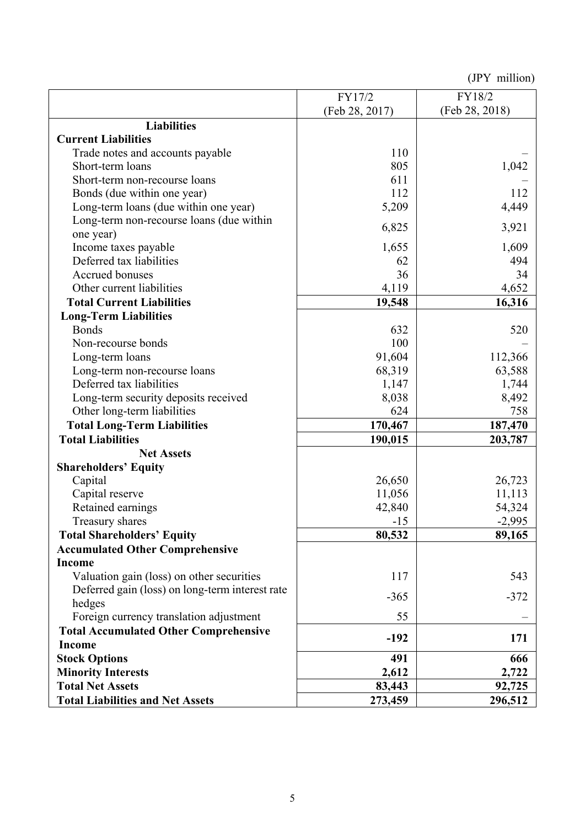|                                                 | FY17/2         | FY18/2         |
|-------------------------------------------------|----------------|----------------|
|                                                 | (Feb 28, 2017) | (Feb 28, 2018) |
| <b>Liabilities</b>                              |                |                |
| <b>Current Liabilities</b>                      |                |                |
| Trade notes and accounts payable                | 110            |                |
| Short-term loans                                | 805            | 1,042          |
| Short-term non-recourse loans                   | 611            |                |
| Bonds (due within one year)                     | 112            | 112            |
| Long-term loans (due within one year)           | 5,209          | 4,449          |
| Long-term non-recourse loans (due within        |                |                |
| one year)                                       | 6,825          | 3,921          |
| Income taxes payable                            | 1,655          | 1,609          |
| Deferred tax liabilities                        | 62             | 494            |
| <b>Accrued bonuses</b>                          | 36             | 34             |
| Other current liabilities                       | 4,119          | 4,652          |
| <b>Total Current Liabilities</b>                | 19,548         | 16,316         |
| <b>Long-Term Liabilities</b>                    |                |                |
| <b>Bonds</b>                                    | 632            | 520            |
| Non-recourse bonds                              | 100            |                |
| Long-term loans                                 | 91,604         | 112,366        |
| Long-term non-recourse loans                    | 68,319         | 63,588         |
| Deferred tax liabilities                        | 1,147          | 1,744          |
| Long-term security deposits received            | 8,038          | 8,492          |
| Other long-term liabilities                     | 624            | 758            |
| <b>Total Long-Term Liabilities</b>              | 170,467        | 187,470        |
| <b>Total Liabilities</b>                        | 190,015        | 203,787        |
| <b>Net Assets</b>                               |                |                |
| <b>Shareholders' Equity</b>                     |                |                |
| Capital                                         | 26,650         | 26,723         |
| Capital reserve                                 | 11,056         | 11,113         |
| Retained earnings                               | 42,840         | 54,324         |
| Treasury shares                                 | $-15$          | $-2,995$       |
| <b>Total Shareholders' Equity</b>               | 80,532         | 89,165         |
| <b>Accumulated Other Comprehensive</b>          |                |                |
| <b>Income</b>                                   |                |                |
| Valuation gain (loss) on other securities       | 117            | 543            |
| Deferred gain (loss) on long-term interest rate | $-365$         | $-372$         |
| hedges                                          |                |                |
| Foreign currency translation adjustment         | 55             |                |
| <b>Total Accumulated Other Comprehensive</b>    | $-192$         | 171            |
| <b>Income</b>                                   |                |                |
| <b>Stock Options</b>                            | 491            | 666            |
| <b>Minority Interests</b>                       | 2,612          | 2,722          |
| <b>Total Net Assets</b>                         | 83,443         | 92,725         |
| <b>Total Liabilities and Net Assets</b>         | 273,459        | 296,512        |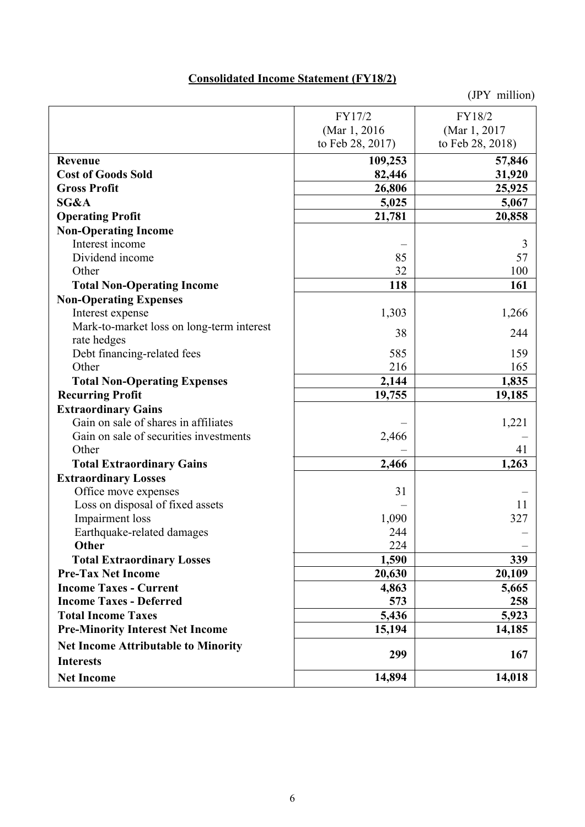# **Consolidated Income Statement (FY18/2)**

|                                            | FY17/2           | FY18/2           |
|--------------------------------------------|------------------|------------------|
|                                            | (Mar 1, 2016)    | (Mar 1, 2017)    |
|                                            | to Feb 28, 2017) | to Feb 28, 2018) |
| Revenue                                    | 109,253          | 57,846           |
| <b>Cost of Goods Sold</b>                  | 82,446           | 31,920           |
| <b>Gross Profit</b>                        | 26,806           | 25,925           |
| SG&A                                       | 5,025            | 5,067            |
| <b>Operating Profit</b>                    | 21,781           | 20,858           |
| <b>Non-Operating Income</b>                |                  |                  |
| Interest income                            |                  | 3                |
| Dividend income                            | 85               | 57               |
| Other                                      | 32               | 100              |
| <b>Total Non-Operating Income</b>          | 118              | 161              |
| <b>Non-Operating Expenses</b>              |                  |                  |
| Interest expense                           | 1,303            | 1,266            |
| Mark-to-market loss on long-term interest  | 38               |                  |
| rate hedges                                |                  | 244              |
| Debt financing-related fees                | 585              | 159              |
| Other                                      | 216              | 165              |
| <b>Total Non-Operating Expenses</b>        | 2,144            | 1,835            |
| <b>Recurring Profit</b>                    | 19,755           | 19,185           |
| <b>Extraordinary Gains</b>                 |                  |                  |
| Gain on sale of shares in affiliates       |                  | 1,221            |
| Gain on sale of securities investments     | 2,466            |                  |
| Other                                      |                  | 41               |
| <b>Total Extraordinary Gains</b>           | 2,466            | 1,263            |
| <b>Extraordinary Losses</b>                |                  |                  |
| Office move expenses                       | 31               |                  |
| Loss on disposal of fixed assets           |                  | 11               |
| Impairment loss                            | 1,090            | 327              |
| Earthquake-related damages                 | 244              |                  |
| <b>Other</b>                               | 224              |                  |
| <b>Total Extraordinary Losses</b>          | 1,590            | 339              |
| <b>Pre-Tax Net Income</b>                  | 20,630           | 20,109           |
| <b>Income Taxes - Current</b>              | 4,863            | 5,665            |
| <b>Income Taxes - Deferred</b>             | 573              | 258              |
| <b>Total Income Taxes</b>                  | 5,436            | 5,923            |
| <b>Pre-Minority Interest Net Income</b>    | 15,194           | 14,185           |
| <b>Net Income Attributable to Minority</b> | 299              | 167              |
| <b>Interests</b>                           |                  |                  |
| <b>Net Income</b>                          | 14,894           | 14,018           |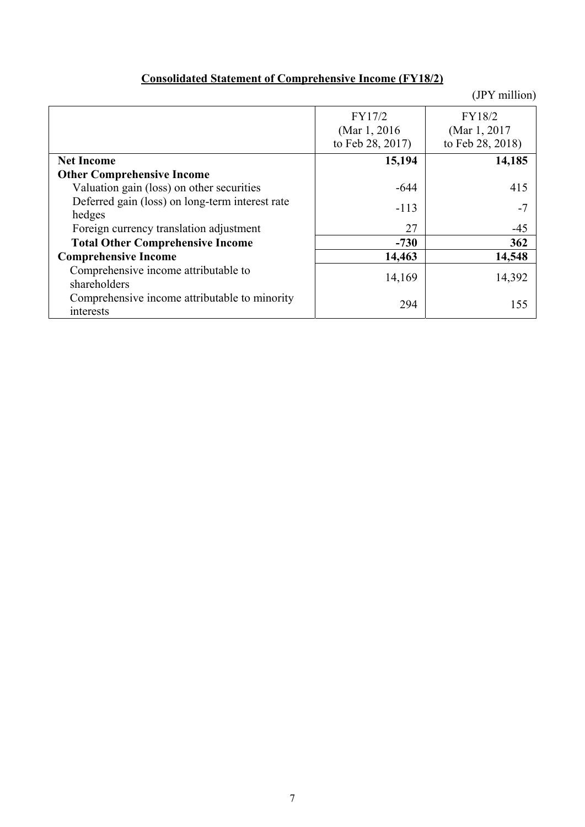| <b>Consolidated Statement of Comprehensive Income (FY18/2)</b> |
|----------------------------------------------------------------|
|----------------------------------------------------------------|

|                                                 | FY17/2           | FY18/2           |
|-------------------------------------------------|------------------|------------------|
|                                                 | (Mar 1, 2016)    | (Mar 1, 2017)    |
|                                                 | to Feb 28, 2017) | to Feb 28, 2018) |
| <b>Net Income</b>                               | 15,194           | 14,185           |
| <b>Other Comprehensive Income</b>               |                  |                  |
| Valuation gain (loss) on other securities       | $-644$           | 415              |
| Deferred gain (loss) on long-term interest rate | $-113$           | $-7$             |
| hedges                                          |                  |                  |
| Foreign currency translation adjustment         | 27               | $-45$            |
| <b>Total Other Comprehensive Income</b>         | $-730$           | 362              |
| <b>Comprehensive Income</b>                     | 14,463           | 14,548           |
| Comprehensive income attributable to            | 14,169           | 14,392           |
| shareholders                                    |                  |                  |
| Comprehensive income attributable to minority   | 294              | 155              |
| interests                                       |                  |                  |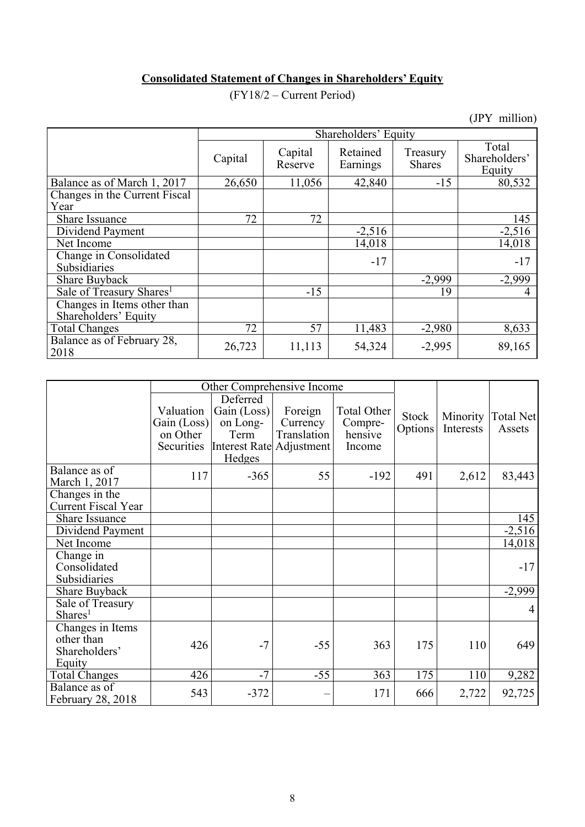# **Consolidated Statement of Changes in Shareholders' Equity**

(FY18/2 – Current Period)

|                                                     |         | Shareholders' Equity |                      |                           |                                  |  |  |  |  |
|-----------------------------------------------------|---------|----------------------|----------------------|---------------------------|----------------------------------|--|--|--|--|
|                                                     | Capital | Capital<br>Reserve   | Retained<br>Earnings | Treasury<br><b>Shares</b> | Total<br>Shareholders'<br>Equity |  |  |  |  |
| Balance as of March 1, 2017                         | 26,650  | 11,056               | 42,840               | $-15$                     | 80,532                           |  |  |  |  |
| Changes in the Current Fiscal                       |         |                      |                      |                           |                                  |  |  |  |  |
| Year                                                |         |                      |                      |                           |                                  |  |  |  |  |
| Share Issuance                                      | 72      | 72                   |                      |                           | 145                              |  |  |  |  |
| Dividend Payment                                    |         |                      | $-2,516$             |                           | $-2,516$                         |  |  |  |  |
| Net Income                                          |         |                      | 14,018               |                           | 14,018                           |  |  |  |  |
| Change in Consolidated<br>Subsidiaries              |         |                      | $-17$                |                           | $-17$                            |  |  |  |  |
| Share Buyback                                       |         |                      |                      | $-2,999$                  | $-2,999$                         |  |  |  |  |
| Sale of Treasury Shares <sup>1</sup>                |         | $-15$                |                      | 19                        |                                  |  |  |  |  |
| Changes in Items other than<br>Shareholders' Equity |         |                      |                      |                           |                                  |  |  |  |  |
| <b>Total Changes</b>                                | 72      | 57                   | 11,483               | $-2,980$                  | 8,633                            |  |  |  |  |
| Balance as of February 28,<br>2018                  | 26,723  | 11,113               | 54,324               | $-2,995$                  | 89,165                           |  |  |  |  |

|                                                           |                                                    | Other Comprehensive Income                                                        |                                    |                                             |                         |                       |                            |
|-----------------------------------------------------------|----------------------------------------------------|-----------------------------------------------------------------------------------|------------------------------------|---------------------------------------------|-------------------------|-----------------------|----------------------------|
|                                                           | Valuation<br>Gain (Loss)<br>on Other<br>Securities | Deferred<br>Gain (Loss)<br>on Long-<br>Term<br>Interest Rate Adjustment<br>Hedges | Foreign<br>Currency<br>Translation | Total Other<br>Compre-<br>hensive<br>Income | <b>Stock</b><br>Options | Minority<br>Interests | <b>Total Net</b><br>Assets |
| Balance as of<br>March 1, 2017                            | 117                                                | $-365$                                                                            | 55                                 | $-192$                                      | 491                     | 2,612                 | 83,443                     |
| Changes in the<br><b>Current Fiscal Year</b>              |                                                    |                                                                                   |                                    |                                             |                         |                       |                            |
| Share Issuance                                            |                                                    |                                                                                   |                                    |                                             |                         |                       | 145                        |
| Dividend Payment                                          |                                                    |                                                                                   |                                    |                                             |                         |                       | $-2,516$                   |
| Net Income                                                |                                                    |                                                                                   |                                    |                                             |                         |                       | 14,018                     |
| Change in<br>Consolidated<br>Subsidiaries                 |                                                    |                                                                                   |                                    |                                             |                         |                       | $-17$                      |
| Share Buyback                                             |                                                    |                                                                                   |                                    |                                             |                         |                       | $-2,999$                   |
| Sale of Treasury<br>Shares <sup>1</sup>                   |                                                    |                                                                                   |                                    |                                             |                         |                       | 4                          |
| Changes in Items<br>other than<br>Shareholders'<br>Equity | 426                                                | $-7$                                                                              | $-55$                              | 363                                         | 175                     | 110                   | 649                        |
| <b>Total Changes</b>                                      | 426                                                | $-7$                                                                              | $-55$                              | 363                                         | 175                     | 110                   | 9,282                      |
| Balance as of<br>February 28, 2018                        | 543                                                | $-372$                                                                            |                                    | 171                                         | 666                     | 2,722                 | 92,725                     |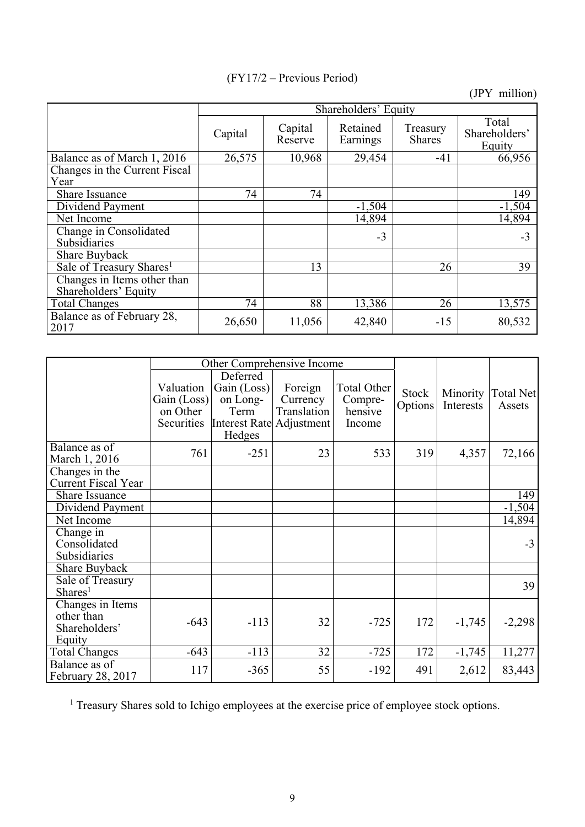|                                                     | Shareholders' Equity |                    |                      |                           |                                  |  |  |  |  |
|-----------------------------------------------------|----------------------|--------------------|----------------------|---------------------------|----------------------------------|--|--|--|--|
|                                                     | Capital              | Capital<br>Reserve | Retained<br>Earnings | Treasury<br><b>Shares</b> | Total<br>Shareholders'<br>Equity |  |  |  |  |
| Balance as of March 1, 2016                         | 26,575               | 10,968             | 29,454               | $-41$                     | 66,956                           |  |  |  |  |
| Changes in the Current Fiscal                       |                      |                    |                      |                           |                                  |  |  |  |  |
| Year                                                |                      |                    |                      |                           |                                  |  |  |  |  |
| Share Issuance                                      | 74                   | 74                 |                      |                           | 149                              |  |  |  |  |
| Dividend Payment                                    |                      |                    | $-1,504$             |                           | $-1,504$                         |  |  |  |  |
| Net Income                                          |                      |                    | 14,894               |                           | 14,894                           |  |  |  |  |
| Change in Consolidated<br>Subsidiaries              |                      |                    | $-3$                 |                           | $-3$                             |  |  |  |  |
| <b>Share Buyback</b>                                |                      |                    |                      |                           |                                  |  |  |  |  |
| Sale of Treasury Shares <sup>1</sup>                |                      | 13                 |                      | 26                        | 39                               |  |  |  |  |
| Changes in Items other than<br>Shareholders' Equity |                      |                    |                      |                           |                                  |  |  |  |  |
| <b>Total Changes</b>                                | 74                   | 88                 | 13,386               | 26                        | 13,575                           |  |  |  |  |
| Balance as of February 28,<br>2017                  | 26,650               | 11,056             | 42,840               | $-15$                     | 80,532                           |  |  |  |  |

|                                                           |                                                    | Other Comprehensive Income                                                        |                                    |                                                    |                  |                       |                     |
|-----------------------------------------------------------|----------------------------------------------------|-----------------------------------------------------------------------------------|------------------------------------|----------------------------------------------------|------------------|-----------------------|---------------------|
|                                                           | Valuation<br>Gain (Loss)<br>on Other<br>Securities | Deferred<br>Gain (Loss)<br>on Long-<br>Term<br>Interest Rate Adjustment<br>Hedges | Foreign<br>Currency<br>Translation | <b>Total Other</b><br>Compre-<br>hensive<br>Income | Stock<br>Options | Minority<br>Interests | Total Net<br>Assets |
| Balance as of<br>March 1, 2016                            | 761                                                | $-251$                                                                            | 23                                 | 533                                                | 319              | 4,357                 | 72,166              |
| Changes in the<br><b>Current Fiscal Year</b>              |                                                    |                                                                                   |                                    |                                                    |                  |                       |                     |
| <b>Share Issuance</b>                                     |                                                    |                                                                                   |                                    |                                                    |                  |                       | 149                 |
| Dividend Payment                                          |                                                    |                                                                                   |                                    |                                                    |                  |                       | $-1,504$            |
| Net Income                                                |                                                    |                                                                                   |                                    |                                                    |                  |                       | 14,894              |
| Change in<br>Consolidated<br>Subsidiaries                 |                                                    |                                                                                   |                                    |                                                    |                  |                       | $-3$                |
| Share Buyback<br>Sale of Treasury<br>Shares <sup>1</sup>  |                                                    |                                                                                   |                                    |                                                    |                  |                       | 39                  |
| Changes in Items<br>other than<br>Shareholders'<br>Equity | $-643$                                             | $-113$                                                                            | 32                                 | $-725$                                             | 172              | $-1,745$              | $-2,298$            |
| <b>Total Changes</b>                                      | $-643$                                             | $-113$                                                                            | 32                                 | $-725$                                             | 172              | $-1,745$              | 11,277              |
| Balance as of<br>February 28, 2017                        | 117                                                | $-365$                                                                            | 55                                 | $-192$                                             | 491              | 2,612                 | 83,443              |

<sup>1</sup> Treasury Shares sold to Ichigo employees at the exercise price of employee stock options.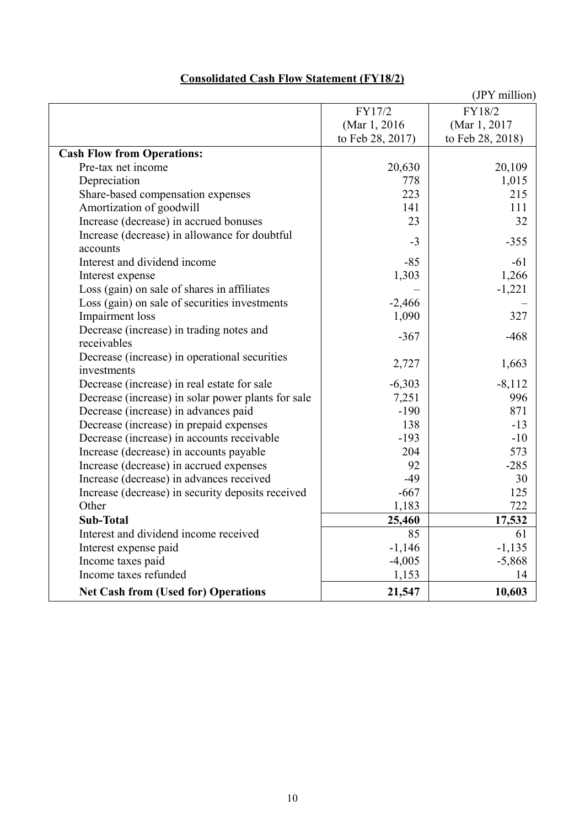|                                                    |                  | (JPY million)    |
|----------------------------------------------------|------------------|------------------|
|                                                    | FY17/2           | FY18/2           |
|                                                    | (Mar 1, 2016)    | (Mar 1, 2017)    |
|                                                    | to Feb 28, 2017) | to Feb 28, 2018) |
| <b>Cash Flow from Operations:</b>                  |                  |                  |
| Pre-tax net income                                 | 20,630           | 20,109           |
| Depreciation                                       | 778              | 1,015            |
| Share-based compensation expenses                  | 223              | 215              |
| Amortization of goodwill                           | 141              | 111              |
| Increase (decrease) in accrued bonuses             | 23               | 32               |
| Increase (decrease) in allowance for doubtful      |                  | $-355$           |
| accounts                                           | $-3$             |                  |
| Interest and dividend income                       | $-85$            | $-61$            |
| Interest expense                                   | 1,303            | 1,266            |
| Loss (gain) on sale of shares in affiliates        |                  | $-1,221$         |
| Loss (gain) on sale of securities investments      | $-2,466$         |                  |
| <b>Impairment</b> loss                             | 1,090            | 327              |
| Decrease (increase) in trading notes and           | $-367$           | $-468$           |
| receivables                                        |                  |                  |
| Decrease (increase) in operational securities      | 2,727            | 1,663            |
| investments                                        |                  |                  |
| Decrease (increase) in real estate for sale        | $-6,303$         | $-8,112$         |
| Decrease (increase) in solar power plants for sale | 7,251            | 996              |
| Decrease (increase) in advances paid               | $-190$           | 871              |
| Decrease (increase) in prepaid expenses            | 138              | $-13$            |
| Decrease (increase) in accounts receivable         | $-193$           | $-10$            |
| Increase (decrease) in accounts payable            | 204              | 573              |
| Increase (decrease) in accrued expenses            | 92               | $-285$           |
| Increase (decrease) in advances received           | $-49$            | 30               |
| Increase (decrease) in security deposits received  | $-667$           | 125              |
| Other                                              | 1,183            | 722              |
| <b>Sub-Total</b>                                   | 25,460           | 17,532           |
| Interest and dividend income received              | 85               | 61               |
| Interest expense paid                              | $-1,146$         | $-1,135$         |
| Income taxes paid                                  | $-4,005$         | $-5,868$         |
| Income taxes refunded                              | 1,153            | 14               |
| <b>Net Cash from (Used for) Operations</b>         | 21,547           | 10,603           |

## **Consolidated Cash Flow Statement (FY18/2)**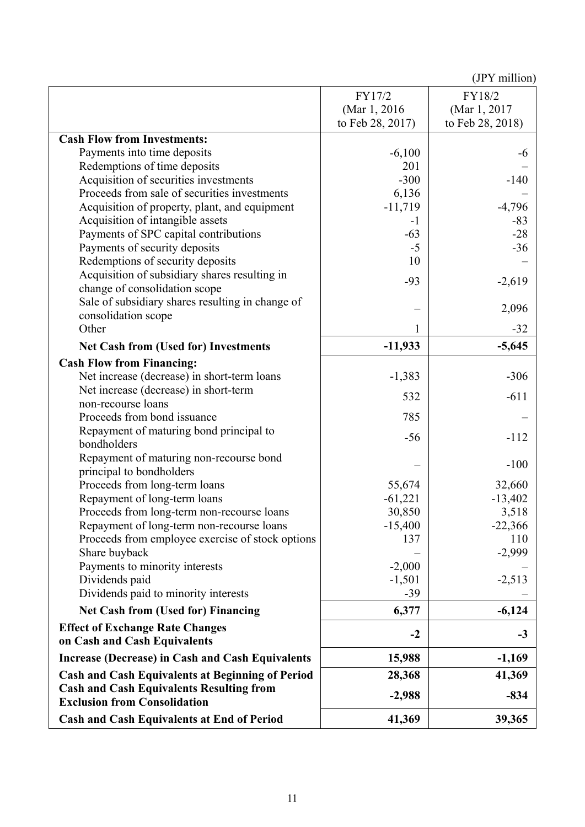|                                                                                        | FY17/2           | FY18/2           |
|----------------------------------------------------------------------------------------|------------------|------------------|
|                                                                                        | (Mar 1, 2016)    | (Mar 1, 2017)    |
|                                                                                        | to Feb 28, 2017) | to Feb 28, 2018) |
| <b>Cash Flow from Investments:</b>                                                     |                  |                  |
| Payments into time deposits                                                            | $-6,100$         | -6               |
| Redemptions of time deposits                                                           | 201              |                  |
| Acquisition of securities investments                                                  | $-300$           | $-140$           |
| Proceeds from sale of securities investments                                           | 6,136            |                  |
| Acquisition of property, plant, and equipment                                          | $-11,719$        | $-4,796$         |
| Acquisition of intangible assets                                                       | $-1$             | $-83$            |
| Payments of SPC capital contributions                                                  | $-63$            | $-28$            |
| Payments of security deposits                                                          | $-5$             | $-36$            |
| Redemptions of security deposits                                                       | 10               |                  |
| Acquisition of subsidiary shares resulting in                                          |                  |                  |
| change of consolidation scope                                                          | $-93$            | $-2,619$         |
| Sale of subsidiary shares resulting in change of                                       |                  |                  |
| consolidation scope                                                                    |                  | 2,096            |
| Other                                                                                  | 1                | $-32$            |
| <b>Net Cash from (Used for) Investments</b>                                            | $-11,933$        | $-5,645$         |
| <b>Cash Flow from Financing:</b>                                                       |                  |                  |
| Net increase (decrease) in short-term loans                                            | $-1,383$         | $-306$           |
| Net increase (decrease) in short-term                                                  |                  |                  |
| non-recourse loans                                                                     | 532              | $-611$           |
| Proceeds from bond issuance                                                            | 785              |                  |
| Repayment of maturing bond principal to                                                |                  |                  |
| bondholders                                                                            | $-56$            | $-112$           |
| Repayment of maturing non-recourse bond                                                |                  |                  |
| principal to bondholders                                                               |                  | $-100$           |
| Proceeds from long-term loans                                                          | 55,674           | 32,660           |
| Repayment of long-term loans                                                           | $-61,221$        | $-13,402$        |
| Proceeds from long-term non-recourse loans                                             | 30,850           | 3,518            |
| Repayment of long-term non-recourse loans                                              | $-15,400$        | $-22,366$        |
| Proceeds from employee exercise of stock options                                       | 137              | 110              |
| Share buyback                                                                          |                  | $-2,999$         |
| Payments to minority interests                                                         | $-2,000$         |                  |
| Dividends paid                                                                         | $-1,501$         | $-2,513$         |
| Dividends paid to minority interests                                                   | $-39$            |                  |
| <b>Net Cash from (Used for) Financing</b>                                              | 6,377            | $-6,124$         |
| <b>Effect of Exchange Rate Changes</b>                                                 |                  |                  |
| on Cash and Cash Equivalents                                                           | $-2$             | $-3$             |
| <b>Increase (Decrease) in Cash and Cash Equivalents</b>                                | 15,988           | $-1,169$         |
| <b>Cash and Cash Equivalents at Beginning of Period</b>                                | 28,368           | 41,369           |
| <b>Cash and Cash Equivalents Resulting from</b><br><b>Exclusion from Consolidation</b> | $-2,988$         | $-834$           |
| <b>Cash and Cash Equivalents at End of Period</b>                                      | 41,369           | 39,365           |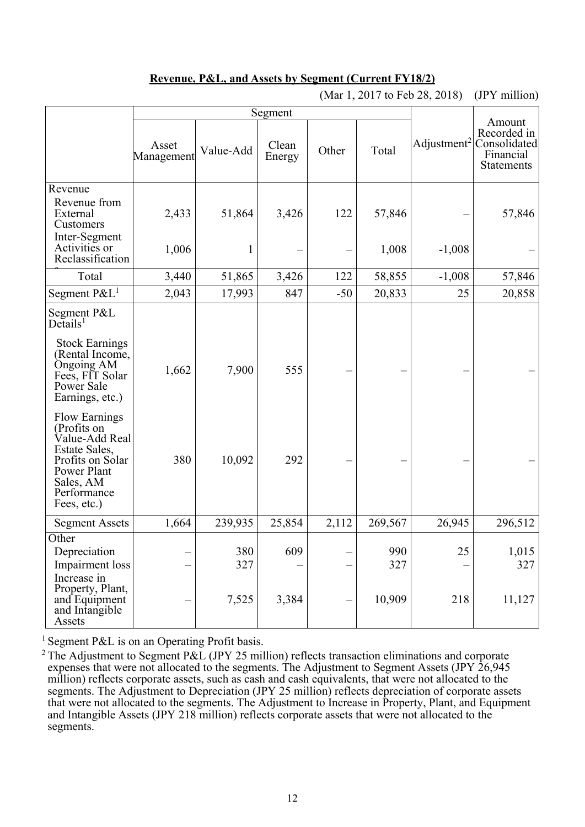## **Revenue, P&L, and Assets by Segment (Current FY18/2)**

|                                                                                                                                                      |                     | Segment   |                 |       | Amount  |                         |                                                               |
|------------------------------------------------------------------------------------------------------------------------------------------------------|---------------------|-----------|-----------------|-------|---------|-------------------------|---------------------------------------------------------------|
|                                                                                                                                                      | Asset<br>Management | Value-Add | Clean<br>Energy | Other | Total   | Adjustment <sup>2</sup> | Recorded in<br>Consolidated<br>Financial<br><b>Statements</b> |
| Revenue                                                                                                                                              |                     |           |                 |       |         |                         |                                                               |
| Revenue from<br>External<br>Customers                                                                                                                | 2,433               | 51,864    | 3,426           | 122   | 57,846  |                         | 57,846                                                        |
| Inter-Segment<br>Activities or<br>Reclassification                                                                                                   | 1,006               | 1         |                 |       | 1,008   | $-1,008$                |                                                               |
| Total                                                                                                                                                | 3,440               | 51,865    | 3,426           | 122   | 58,855  | $-1,008$                | 57,846                                                        |
| Segment $P\&L^1$                                                                                                                                     | 2,043               | 17,993    | 847             | $-50$ | 20,833  | 25                      | 20,858                                                        |
| Segment P&L<br>$De$ tails <sup>1</sup>                                                                                                               |                     |           |                 |       |         |                         |                                                               |
| <b>Stock Earnings</b><br>(Rental Income,<br>Ongoing AM<br>Fees, FIT Solar<br>Power Sale<br>Earnings, etc.)                                           | 1,662               | 7,900     | 555             |       |         |                         |                                                               |
| <b>Flow Earnings</b><br>(Profits on<br>Value-Add Real<br>Estate Sales,<br>Profits on Solar<br>Power Plant<br>Sales, AM<br>Performance<br>Fees, etc.) | 380                 | 10,092    | 292             |       |         |                         |                                                               |
| <b>Segment Assets</b>                                                                                                                                | 1,664               | 239,935   | 25,854          | 2,112 | 269,567 | 26,945                  | 296,512                                                       |
| Other                                                                                                                                                |                     |           |                 |       |         |                         |                                                               |
| Depreciation                                                                                                                                         |                     | 380       | 609             |       | 990     | 25                      | 1,015                                                         |
| <b>Impairment</b> loss                                                                                                                               |                     | 327       |                 |       | 327     |                         | 327                                                           |
| Increase in<br>Property, Plant,<br>and Equipment<br>and Intangible<br>Assets                                                                         |                     | 7,525     | 3,384           |       | 10,909  | 218                     | 11,127                                                        |

(Mar 1, 2017 to Feb 28, 2018) (JPY million)

<sup>1</sup> Segment P&L is on an Operating Profit basis.

<sup>2</sup> The Adjustment to Segment P&L (JPY 25 million) reflects transaction eliminations and corporate expenses that were not allocated to the segments. The Adjustment to Segment Assets (JPY 26,945 million) reflects corporate assets, such as cash and cash equivalents, that were not allocated to the segments. The Adjustment to Depreciation (JPY 25 million) reflects depreciation of corporate assets that were not allocated to the segments. The Adjustment to Increase in Property, Plant, and Equipment and Intangible Assets (JPY 218 million) reflects corporate assets that were not allocated to the segments.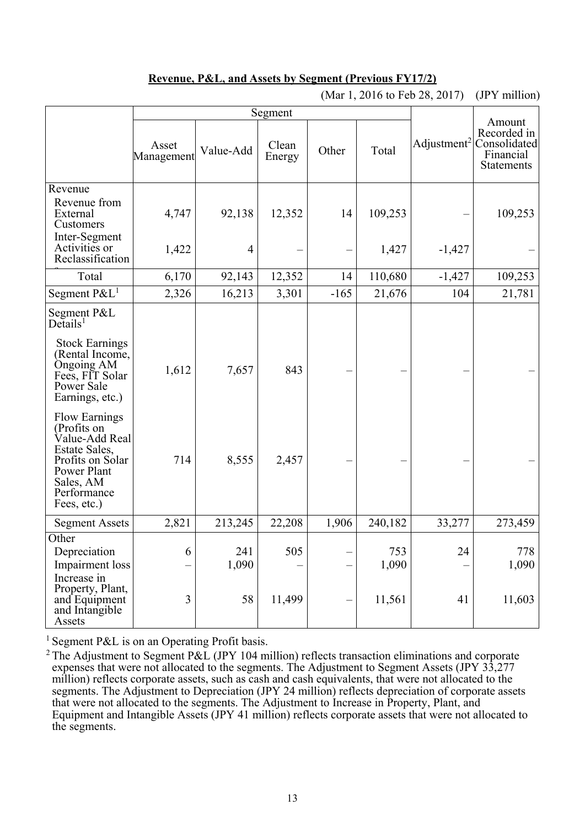## **Revenue, P&L, and Assets by Segment (Previous FY17/2)**

|                                                                                                                                                      |                     | Segment        |                 |        |              |                         |                                                                         |
|------------------------------------------------------------------------------------------------------------------------------------------------------|---------------------|----------------|-----------------|--------|--------------|-------------------------|-------------------------------------------------------------------------|
|                                                                                                                                                      | Asset<br>Management | Value-Add      | Clean<br>Energy | Other  | Total        | Adjustment <sup>2</sup> | Amount<br>Recorded in<br>Consolidated<br>Financial<br><b>Statements</b> |
| Revenue                                                                                                                                              |                     |                |                 |        |              |                         |                                                                         |
| Revenue from<br>External<br>Customers                                                                                                                | 4,747               | 92,138         | 12,352          | 14     | 109,253      |                         | 109,253                                                                 |
| Inter-Segment<br>Activities or<br>Reclassification                                                                                                   | 1,422               | $\overline{4}$ |                 |        | 1,427        | $-1,427$                |                                                                         |
| Total                                                                                                                                                | 6,170               | 92,143         | 12,352          | 14     | 110,680      | $-1,427$                | 109,253                                                                 |
| Segment $P\&L^1$                                                                                                                                     | 2,326               | 16,213         | 3,301           | $-165$ | 21,676       | 104                     | 21,781                                                                  |
| Segment P&L<br>De <sup>1</sup>                                                                                                                       |                     |                |                 |        |              |                         |                                                                         |
| <b>Stock Earnings</b><br>(Rental Income,<br>Ongoing AM<br>Fees, FIT Solar<br>Power Sale<br>Earnings, etc.)                                           | 1,612               | 7,657          | 843             |        |              |                         |                                                                         |
| <b>Flow Earnings</b><br>(Profits on<br>Value-Add Real<br>Estate Sales,<br>Profits on Solar<br>Power Plant<br>Sales, AM<br>Performance<br>Fees, etc.) | 714                 | 8,555          | 2,457           |        |              |                         |                                                                         |
| <b>Segment Assets</b>                                                                                                                                | 2,821               | 213,245        | 22,208          | 1,906  | 240,182      | 33,277                  | 273,459                                                                 |
| Other<br>Depreciation<br>Impairment loss<br>Increase in                                                                                              | 6                   | 241<br>1,090   | 505             |        | 753<br>1,090 | 24                      | 778<br>1,090                                                            |
| Property, Plant,<br>and Equipment<br>and Intangible<br>Assets                                                                                        | 3                   | 58             | 11,499          |        | 11,561       | 41                      | 11,603                                                                  |

(Mar 1, 2016 to Feb 28, 2017) (JPY million)

<sup>1</sup> Segment P&L is on an Operating Profit basis.

<sup>2</sup> The Adjustment to Segment P&L (JPY 104 million) reflects transaction eliminations and corporate expenses that were not allocated to the segments. The Adjustment to Segment Assets (JPY 33,277 million) reflects corporate assets, such as cash and cash equivalents, that were not allocated to the segments. The Adjustment to Depreciation (JPY 24 million) reflects depreciation of corporate assets that were not allocated to the segments. The Adjustment to Increase in Property, Plant, and Equipment and Intangible Assets (JPY 41 million) reflects corporate assets that were not allocated to the segments.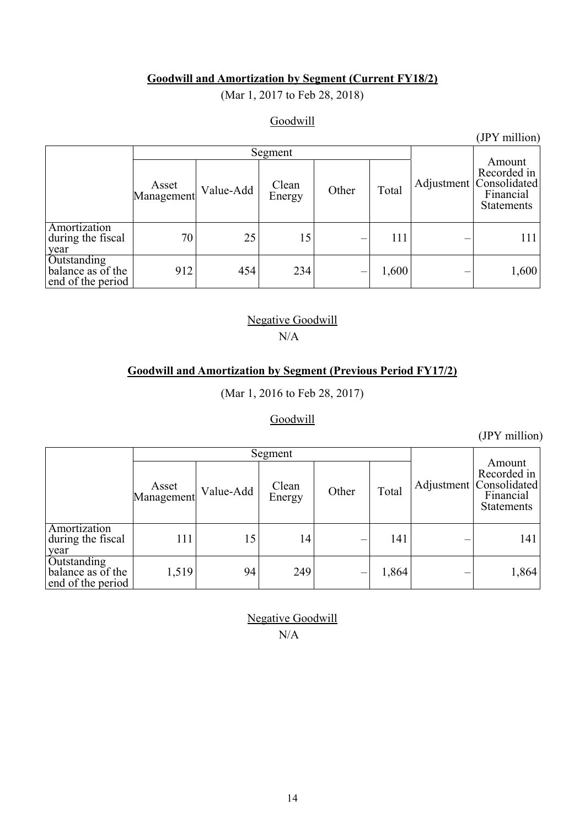## **Goodwill and Amortization by Segment (Current FY18/2)**

(Mar 1, 2017 to Feb 28, 2018)

## **Goodwill**

(JPY million)

|                                                       | Segment             |           |                 |       |       |  |       |                                                                                        |  |
|-------------------------------------------------------|---------------------|-----------|-----------------|-------|-------|--|-------|----------------------------------------------------------------------------------------|--|
|                                                       | Asset<br>Management | Value-Add | Clean<br>Energy | Other | Total |  |       | Amount<br>Recorded in<br>Adjustment   Consolidated  <br>Financial<br><b>Statements</b> |  |
| Amortization<br>during the fiscal<br>year             | 70                  | 25        | 15              |       | 111   |  | 111   |                                                                                        |  |
| Outstanding<br>balance as of the<br>end of the period | 912                 | 454       | 234             |       | 1,600 |  | 1,600 |                                                                                        |  |

## Negative Goodwill N/A

## **Goodwill and Amortization by Segment (Previous Period FY17/2)**

(Mar 1, 2016 to Feb 28, 2017)

## Goodwill

(JPY million)

|                                                       |                     | Segment   |                 |       |       |                                                                                        |
|-------------------------------------------------------|---------------------|-----------|-----------------|-------|-------|----------------------------------------------------------------------------------------|
|                                                       | Asset<br>Management | Value-Add | Clean<br>Energy | Other | Total | Amount<br>Recorded in<br>Adjustment   Consolidated  <br>Financial<br><b>Statements</b> |
| Amortization<br>during the fiscal<br>year             | 111                 | 15        | 14              |       | 141   | 141                                                                                    |
| Outstanding<br>balance as of the<br>end of the period | 1,519               | 94        | 249             |       | 1,864 | 1,864                                                                                  |

Negative Goodwill N/A